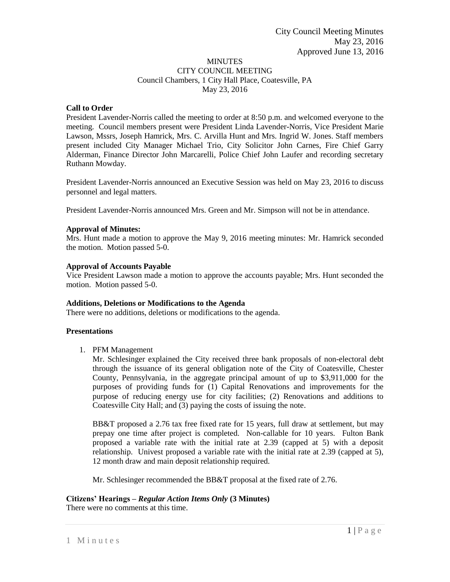## MINUTES CITY COUNCIL MEETING Council Chambers, 1 City Hall Place, Coatesville, PA May 23, 2016

## **Call to Order**

President Lavender-Norris called the meeting to order at 8:50 p.m. and welcomed everyone to the meeting. Council members present were President Linda Lavender-Norris, Vice President Marie Lawson, Mssrs, Joseph Hamrick, Mrs. C. Arvilla Hunt and Mrs. Ingrid W. Jones. Staff members present included City Manager Michael Trio, City Solicitor John Carnes, Fire Chief Garry Alderman, Finance Director John Marcarelli, Police Chief John Laufer and recording secretary Ruthann Mowday.

President Lavender-Norris announced an Executive Session was held on May 23, 2016 to discuss personnel and legal matters.

President Lavender-Norris announced Mrs. Green and Mr. Simpson will not be in attendance.

## **Approval of Minutes:**

Mrs. Hunt made a motion to approve the May 9, 2016 meeting minutes: Mr. Hamrick seconded the motion. Motion passed 5-0.

#### **Approval of Accounts Payable**

Vice President Lawson made a motion to approve the accounts payable; Mrs. Hunt seconded the motion. Motion passed 5-0.

## **Additions, Deletions or Modifications to the Agenda**

There were no additions, deletions or modifications to the agenda.

## **Presentations**

1. PFM Management

Mr. Schlesinger explained the City received three bank proposals of non-electoral debt through the issuance of its general obligation note of the City of Coatesville, Chester County, Pennsylvania, in the aggregate principal amount of up to \$3,911,000 for the purposes of providing funds for (1) Capital Renovations and improvements for the purpose of reducing energy use for city facilities; (2) Renovations and additions to Coatesville City Hall; and (3) paying the costs of issuing the note.

BB&T proposed a 2.76 tax free fixed rate for 15 years, full draw at settlement, but may prepay one time after project is completed. Non-callable for 10 years. Fulton Bank proposed a variable rate with the initial rate at 2.39 (capped at 5) with a deposit relationship. Univest proposed a variable rate with the initial rate at 2.39 (capped at 5), 12 month draw and main deposit relationship required.

Mr. Schlesinger recommended the BB&T proposal at the fixed rate of 2.76.

# **Citizens' Hearings –** *Regular Action Items Only* **(3 Minutes)**

There were no comments at this time.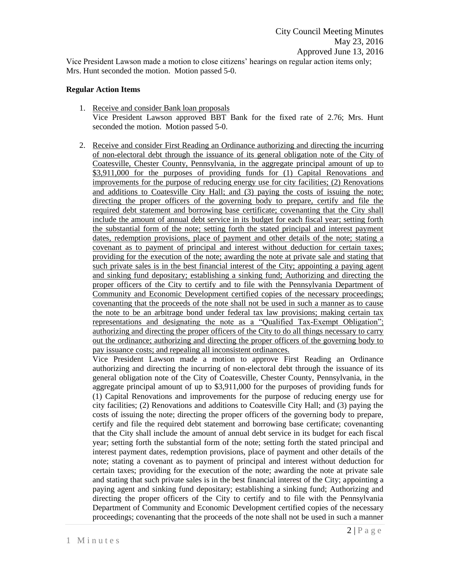Vice President Lawson made a motion to close citizens' hearings on regular action items only; Mrs. Hunt seconded the motion. Motion passed 5-0.

#### **Regular Action Items**

- 1. Receive and consider Bank loan proposals Vice President Lawson approved BBT Bank for the fixed rate of 2.76; Mrs. Hunt seconded the motion. Motion passed 5-0.
- 2. Receive and consider First Reading an Ordinance authorizing and directing the incurring of non-electoral debt through the issuance of its general obligation note of the City of Coatesville, Chester County, Pennsylvania, in the aggregate principal amount of up to \$3,911,000 for the purposes of providing funds for (1) Capital Renovations and improvements for the purpose of reducing energy use for city facilities; (2) Renovations and additions to Coatesville City Hall; and (3) paying the costs of issuing the note; directing the proper officers of the governing body to prepare, certify and file the required debt statement and borrowing base certificate; covenanting that the City shall include the amount of annual debt service in its budget for each fiscal year; setting forth the substantial form of the note; setting forth the stated principal and interest payment dates, redemption provisions, place of payment and other details of the note; stating a covenant as to payment of principal and interest without deduction for certain taxes; providing for the execution of the note; awarding the note at private sale and stating that such private sales is in the best financial interest of the City; appointing a paying agent and sinking fund depositary; establishing a sinking fund; Authorizing and directing the proper officers of the City to certify and to file with the Pennsylvania Department of Community and Economic Development certified copies of the necessary proceedings; covenanting that the proceeds of the note shall not be used in such a manner as to cause the note to be an arbitrage bond under federal tax law provisions; making certain tax representations and designating the note as a "Qualified Tax-Exempt Obligation"; authorizing and directing the proper officers of the City to do all things necessary to carry out the ordinance; authorizing and directing the proper officers of the governing body to pay issuance costs; and repealing all inconsistent ordinances.

Vice President Lawson made a motion to approve First Reading an Ordinance authorizing and directing the incurring of non-electoral debt through the issuance of its general obligation note of the City of Coatesville, Chester County, Pennsylvania, in the aggregate principal amount of up to \$3,911,000 for the purposes of providing funds for (1) Capital Renovations and improvements for the purpose of reducing energy use for city facilities; (2) Renovations and additions to Coatesville City Hall; and (3) paying the costs of issuing the note; directing the proper officers of the governing body to prepare, certify and file the required debt statement and borrowing base certificate; covenanting that the City shall include the amount of annual debt service in its budget for each fiscal year; setting forth the substantial form of the note; setting forth the stated principal and interest payment dates, redemption provisions, place of payment and other details of the note; stating a covenant as to payment of principal and interest without deduction for certain taxes; providing for the execution of the note; awarding the note at private sale and stating that such private sales is in the best financial interest of the City; appointing a paying agent and sinking fund depositary; establishing a sinking fund; Authorizing and directing the proper officers of the City to certify and to file with the Pennsylvania Department of Community and Economic Development certified copies of the necessary proceedings; covenanting that the proceeds of the note shall not be used in such a manner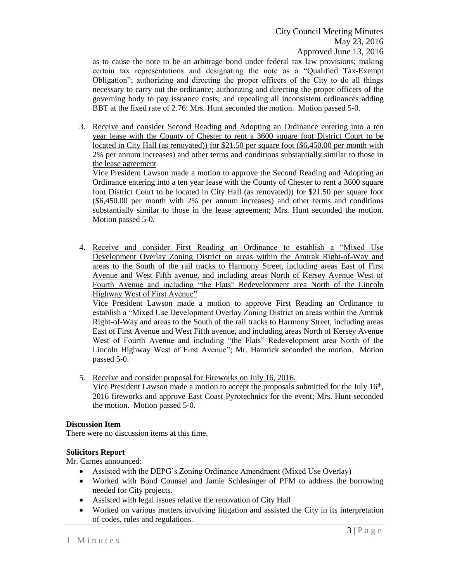as to cause the note to be an arbitrage bond under federal tax law provisions; making certain tax representations and designating the note as a "Qualified Tax-Exempt Obligation"; authorizing and directing the proper officers of the City to do all things necessary to carry out the ordinance; authorizing and directing the proper officers of the governing body to pay issuance costs; and repealing all inconsistent ordinances adding BBT at the fixed rate of 2.76: Mrs. Hunt seconded the motion. Motion passed 5-0.

3. Receive and consider Second Reading and Adopting an Ordinance entering into a ten year lease with the County of Chester to rent a 3600 square foot District Court to be located in City Hall (as renovated)) for \$21.50 per square foot (\$6,450.00 per month with 2% per annum increases) and other terms and conditions substantially similar to those in the lease agreement

Vice President Lawson made a motion to approve the Second Reading and Adopting an Ordinance entering into a ten year lease with the County of Chester to rent a 3600 square foot District Court to be located in City Hall (as renovated)) for \$21.50 per square foot (\$6,450.00 per month with 2% per annum increases) and other terms and conditions substantially similar to those in the lease agreement; Mrs. Hunt seconded the motion. Motion passed 5-0.

4. Receive and consider First Reading an Ordinance to establish a "Mixed Use Development Overlay Zoning District on areas within the Amtrak Right-of-Way and areas to the South of the rail tracks to Harmony Street, including areas East of First Avenue and West Fifth avenue, and including areas North of Kersey Avenue West of Fourth Avenue and including "the Flats" Redevelopment area North of the Lincoln Highway West of First Avenue"

Vice President Lawson made a motion to approve First Reading an Ordinance to establish a "Mixed Use Development Overlay Zoning District on areas within the Amtrak Right-of-Way and areas to the South of the rail tracks to Harmony Street, including areas East of First Avenue and West Fifth avenue, and including areas North of Kersey Avenue West of Fourth Avenue and including "the Flats" Redevelopment area North of the Lincoln Highway West of First Avenue"; Mr. Hamrick seconded the motion. Motion passed 5-0.

- 5. Receive and consider proposal for Fireworks on July 16, 2016.
	- Vice President Lawson made a motion to accept the proposals submitted for the July  $16<sup>th</sup>$ , 2016 fireworks and approve East Coast Pyrotechnics for the event; Mrs. Hunt seconded the motion. Motion passed 5-0.

## **Discussion Item**

There were no discussion items at this time.

# **Solicitors Report**

Mr. Carnes announced:

- Assisted with the DEPG's Zoning Ordinance Amendment (Mixed Use Overlay)
- Worked with Bond Counsel and Jamie Schlesinger of PFM to address the borrowing needed for City projects.
- Assisted with legal issues relative the renovation of City Hall
- Worked on various matters involving litigation and assisted the City in its interpretation of codes, rules and regulations.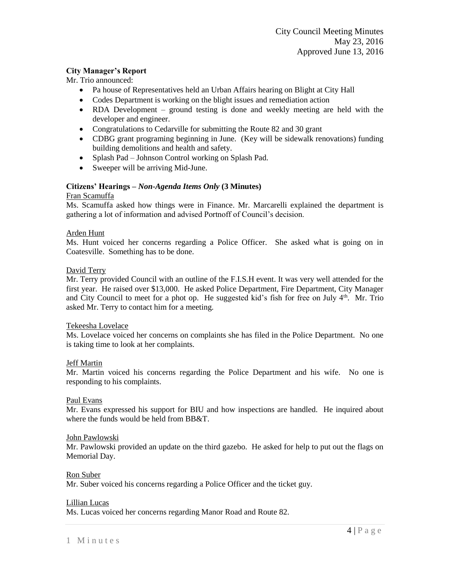## **City Manager's Report**

Mr. Trio announced:

- Pa house of Representatives held an Urban Affairs hearing on Blight at City Hall
- Codes Department is working on the blight issues and remediation action
- RDA Development ground testing is done and weekly meeting are held with the developer and engineer.
- Congratulations to Cedarville for submitting the Route 82 and 30 grant
- CDBG grant programing beginning in June. (Key will be sidewalk renovations) funding building demolitions and health and safety.
- Splash Pad Johnson Control working on Splash Pad.
- Sweeper will be arriving Mid-June.

## **Citizens' Hearings –** *Non-Agenda Items Only* **(3 Minutes)**

## Fran Scamuffa

Ms. Scamuffa asked how things were in Finance. Mr. Marcarelli explained the department is gathering a lot of information and advised Portnoff of Council's decision.

## Arden Hunt

Ms. Hunt voiced her concerns regarding a Police Officer. She asked what is going on in Coatesville. Something has to be done.

#### David Terry

Mr. Terry provided Council with an outline of the F.I.S.H event. It was very well attended for the first year. He raised over \$13,000. He asked Police Department, Fire Department, City Manager and City Council to meet for a phot op. He suggested kid's fish for free on July  $4<sup>th</sup>$ . Mr. Trio asked Mr. Terry to contact him for a meeting.

## Tekeesha Lovelace

Ms. Lovelace voiced her concerns on complaints she has filed in the Police Department. No one is taking time to look at her complaints.

## Jeff Martin

Mr. Martin voiced his concerns regarding the Police Department and his wife. No one is responding to his complaints.

## Paul Evans

Mr. Evans expressed his support for BIU and how inspections are handled. He inquired about where the funds would be held from BB&T.

#### John Pawlowski

Mr. Pawlowski provided an update on the third gazebo. He asked for help to put out the flags on Memorial Day.

#### Ron Suber

Mr. Suber voiced his concerns regarding a Police Officer and the ticket guy.

#### Lillian Lucas

Ms. Lucas voiced her concerns regarding Manor Road and Route 82.